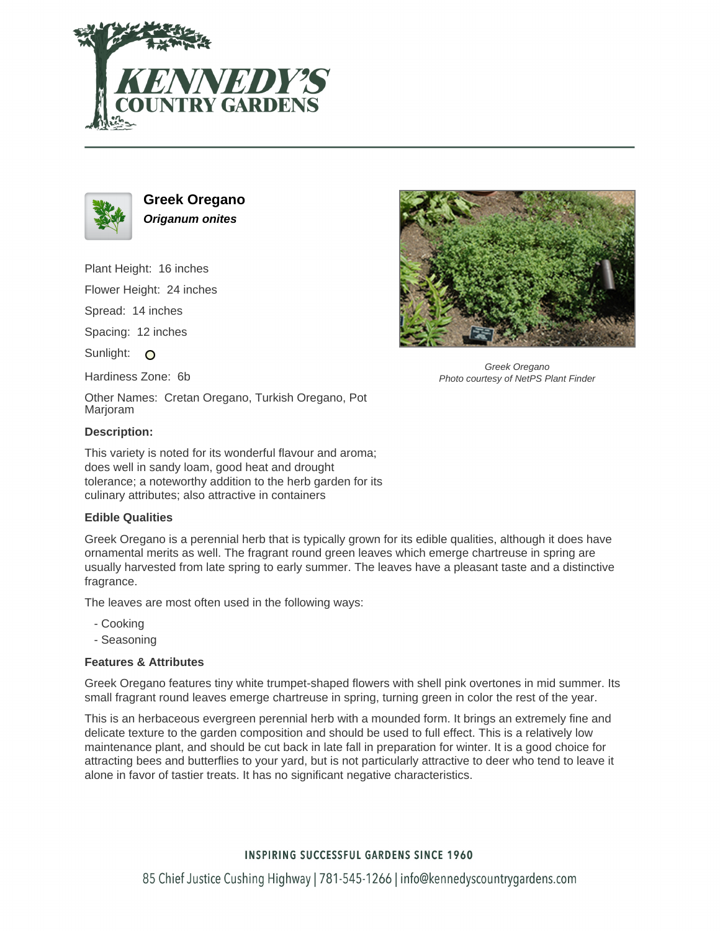



**Greek Oregano Origanum onites**

Plant Height: 16 inches

Flower Height: 24 inches

Spread: 14 inches

Spacing: 12 inches

Sunlight: O

Hardiness Zone: 6b

Other Names: Cretan Oregano, Turkish Oregano, Pot Marjoram

### **Description:**

This variety is noted for its wonderful flavour and aroma; does well in sandy loam, good heat and drought tolerance; a noteworthy addition to the herb garden for its culinary attributes; also attractive in containers

### **Edible Qualities**

Greek Oregano is a perennial herb that is typically grown for its edible qualities, although it does have ornamental merits as well. The fragrant round green leaves which emerge chartreuse in spring are usually harvested from late spring to early summer. The leaves have a pleasant taste and a distinctive fragrance.

The leaves are most often used in the following ways:

- Cooking
- Seasoning

### **Features & Attributes**

Greek Oregano features tiny white trumpet-shaped flowers with shell pink overtones in mid summer. Its small fragrant round leaves emerge chartreuse in spring, turning green in color the rest of the year.

This is an herbaceous evergreen perennial herb with a mounded form. It brings an extremely fine and delicate texture to the garden composition and should be used to full effect. This is a relatively low maintenance plant, and should be cut back in late fall in preparation for winter. It is a good choice for attracting bees and butterflies to your yard, but is not particularly attractive to deer who tend to leave it alone in favor of tastier treats. It has no significant negative characteristics.



Greek Oregano Photo courtesy of NetPS Plant Finder

# **INSPIRING SUCCESSFUL GARDENS SINCE 1960**